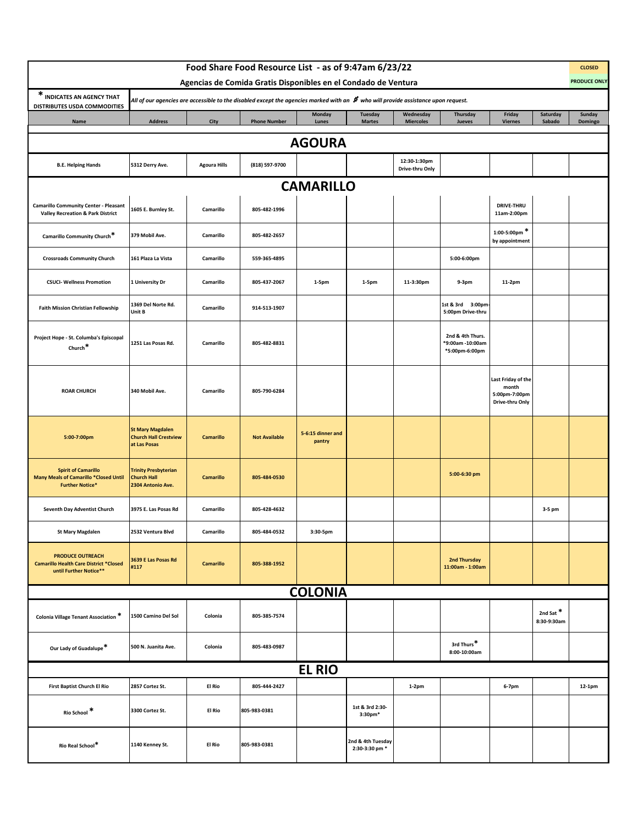|                                                                                                      |                                                                         |                     | Food Share Food Resource List - as of 9:47am 6/23/22<br>Agencias de Comida Gratis Disponibles en el Condado de Ventura               |                             |                                     |                                 |                                                        |                                                                 |                                     | <b>CLOSED</b><br><b>PRODUCE ONLY</b> |
|------------------------------------------------------------------------------------------------------|-------------------------------------------------------------------------|---------------------|--------------------------------------------------------------------------------------------------------------------------------------|-----------------------------|-------------------------------------|---------------------------------|--------------------------------------------------------|-----------------------------------------------------------------|-------------------------------------|--------------------------------------|
| * INDICATES AN AGENCY THAT                                                                           |                                                                         |                     | All of our agencies are accessible to the disabled except the agencies marked with an $\,$ who will provide assistance upon request. |                             |                                     |                                 |                                                        |                                                                 |                                     |                                      |
| DISTRIBUTES USDA COMMODITIES<br>Name                                                                 | Address                                                                 | City                | <b>Phone Number</b>                                                                                                                  | Monday<br>Lunes             | <b>Tuesday</b><br><b>Martes</b>     | Wednesday<br><b>Miercoles</b>   | Thursday<br>Jueves                                     | Friday<br><b>Viernes</b>                                        | Saturday<br>Sabado                  | Sunday<br>Domingo                    |
|                                                                                                      |                                                                         |                     |                                                                                                                                      | <b>AGOURA</b>               |                                     |                                 |                                                        |                                                                 |                                     |                                      |
| <b>B.E. Helping Hands</b>                                                                            | 5312 Derry Ave.                                                         | <b>Agoura Hills</b> | (818) 597-9700                                                                                                                       |                             |                                     | 12:30-1:30pm<br>Drive-thru Only |                                                        |                                                                 |                                     |                                      |
|                                                                                                      |                                                                         |                     |                                                                                                                                      | <b>CAMARILLO</b>            |                                     |                                 |                                                        |                                                                 |                                     |                                      |
| <b>Camarillo Community Center - Pleasant</b><br><b>Valley Recreation &amp; Park District</b>         | 1605 E. Burnley St.                                                     | Camarillo           | 805-482-1996                                                                                                                         |                             |                                     |                                 |                                                        | <b>DRIVE-THRU</b><br>11am-2:00pm                                |                                     |                                      |
| Camarillo Community Church*                                                                          | 379 Mobil Ave.                                                          | Camarillo           | 805-482-2657                                                                                                                         |                             |                                     |                                 |                                                        | $1:00-5:00$ pm *<br>by appointment                              |                                     |                                      |
| <b>Crossroads Community Church</b>                                                                   | 161 Plaza La Vista                                                      | Camarillo           | 559-365-4895                                                                                                                         |                             |                                     |                                 | 5:00-6:00pm                                            |                                                                 |                                     |                                      |
| <b>CSUCI- Wellness Promotion</b>                                                                     | 1 University Dr                                                         | Camarillo           | 805-437-2067                                                                                                                         | 1-5pm                       | 1-5pm                               | 11-3:30pm                       | 9-3pm                                                  | 11-2pm                                                          |                                     |                                      |
| <b>Faith Mission Christian Fellowship</b>                                                            | 1369 Del Norte Rd.<br>Unit B                                            | Camarillo           | 914-513-1907                                                                                                                         |                             |                                     |                                 | 1st & 3rd 3:00pm<br>5:00pm Drive-thru                  |                                                                 |                                     |                                      |
| Project Hope - St. Columba's Episcopal<br>Church <sup>*</sup>                                        | 1251 Las Posas Rd.                                                      | Camarillo           | 805-482-8831                                                                                                                         |                             |                                     |                                 | 2nd & 4th Thurs.<br>*9:00am -10:00am<br>*5:00pm-6:00pm |                                                                 |                                     |                                      |
| <b>ROAR CHURCH</b>                                                                                   | 340 Mobil Ave.                                                          | Camarillo           | 805-790-6284                                                                                                                         |                             |                                     |                                 |                                                        | Last Friday of the<br>month<br>5:00pm-7:00pm<br>Drive-thru Only |                                     |                                      |
| 5:00-7:00pm                                                                                          | <b>St Mary Magdalen</b><br><b>Church Hall Crestview</b><br>at Las Posas | <b>Camarillo</b>    | <b>Not Available</b>                                                                                                                 | 5-6:15 dinner and<br>pantry |                                     |                                 |                                                        |                                                                 |                                     |                                      |
| <b>Spirit of Camarillo</b><br><b>Many Meals of Camarillo *Closed Until</b><br><b>Further Notice*</b> | <b>Trinity Presbyterian</b><br><b>Church Hall</b><br>2304 Antonio Ave.  | <b>Camarillo</b>    | 805-484-0530                                                                                                                         |                             |                                     |                                 | 5:00-6:30 pm                                           |                                                                 |                                     |                                      |
| Seventh Day Adventist Church                                                                         | 3975 E. Las Posas Rd                                                    | Camarillo           | 805-428-4632                                                                                                                         |                             |                                     |                                 |                                                        |                                                                 | 3-5 pm                              |                                      |
| <b>St Mary Magdalen</b>                                                                              | 2532 Ventura Blvd                                                       | Camarillo           | 805-484-0532                                                                                                                         | 3:30-5pm                    |                                     |                                 |                                                        |                                                                 |                                     |                                      |
| <b>PRODUCE OUTREACH</b><br><b>Camarillo Health Care District *Closed</b><br>until Further Notice**   | 3639 E Las Posas Rd<br>#117                                             | <b>Camarillo</b>    | 805-388-1952                                                                                                                         |                             |                                     |                                 | 2nd Thursday<br>11:00am - 1:00am                       |                                                                 |                                     |                                      |
|                                                                                                      |                                                                         |                     |                                                                                                                                      | <b>COLONIA</b>              |                                     |                                 |                                                        |                                                                 |                                     |                                      |
| Colonia Village Tenant Association *                                                                 | 1500 Camino Del Sol                                                     | Colonia             | 805-385-7574                                                                                                                         |                             |                                     |                                 |                                                        |                                                                 | 2nd Sat <sup>*</sup><br>8:30-9:30am |                                      |
| Our Lady of Guadalupe*                                                                               | 500 N. Juanita Ave.                                                     | Colonia             | 805-483-0987                                                                                                                         |                             |                                     |                                 | 3rd Thurs*<br>8:00-10:00am                             |                                                                 |                                     |                                      |
|                                                                                                      |                                                                         |                     |                                                                                                                                      | <b>EL RIO</b>               |                                     |                                 |                                                        |                                                                 |                                     |                                      |
| First Baptist Church El Rio                                                                          | 2857 Cortez St.                                                         | El Rio              | 805-444-2427                                                                                                                         |                             |                                     | $1-2pm$                         |                                                        | 6-7pm                                                           |                                     | 12-1pm                               |
| Rio School *                                                                                         | 3300 Cortez St.                                                         | El Rio              | 805-983-0381                                                                                                                         |                             | 1st & 3rd 2:30-<br>$3:30$ pm $*$    |                                 |                                                        |                                                                 |                                     |                                      |
| Rio Real School*                                                                                     | 1140 Kenney St.                                                         | El Rio              | 805-983-0381                                                                                                                         |                             | 2nd & 4th Tuesday<br>2:30-3:30 pm * |                                 |                                                        |                                                                 |                                     |                                      |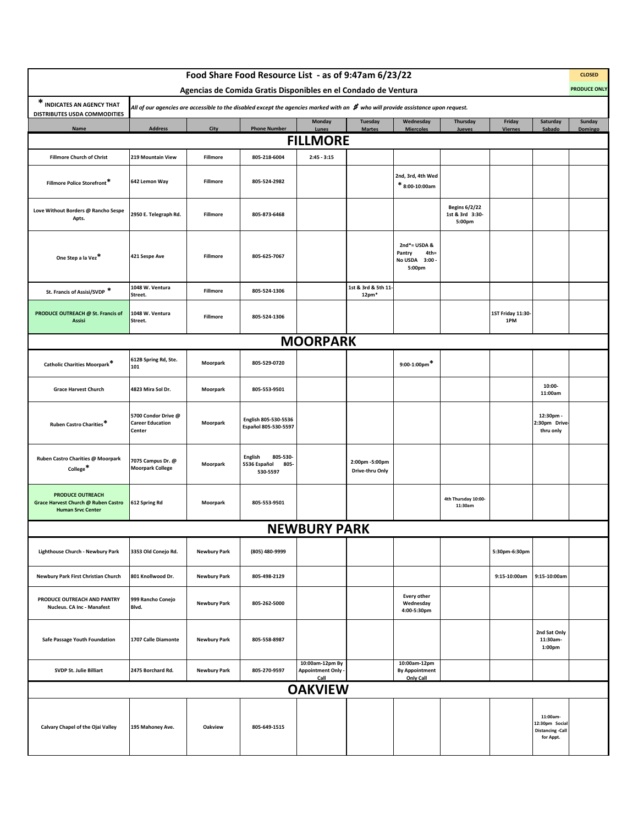|                                                                                            |                                                          |                     | Food Share Food Resource List - as of 9:47am 6/23/22                                                                                          |                                                      |                                         |                                                               |                                                   |                          |                                                                    | <b>CLOSED</b>       |
|--------------------------------------------------------------------------------------------|----------------------------------------------------------|---------------------|-----------------------------------------------------------------------------------------------------------------------------------------------|------------------------------------------------------|-----------------------------------------|---------------------------------------------------------------|---------------------------------------------------|--------------------------|--------------------------------------------------------------------|---------------------|
|                                                                                            |                                                          |                     | Agencias de Comida Gratis Disponibles en el Condado de Ventura                                                                                |                                                      |                                         |                                                               |                                                   |                          |                                                                    | <b>PRODUCE ONLY</b> |
| * INDICATES AN AGENCY THAT<br>DISTRIBUTES USDA COMMODITIES                                 |                                                          |                     | All of our agencies are accessible to the disabled except the agencies marked with an $\,$ <b>#</b> who will provide assistance upon request. |                                                      |                                         |                                                               |                                                   |                          |                                                                    |                     |
| Name                                                                                       | <b>Address</b>                                           | City                | <b>Phone Number</b>                                                                                                                           | <b>Monday</b><br>Lunes                               | Tuesday<br><b>Martes</b>                | Wednesday<br><b>Miercoles</b>                                 | Thursday<br>Jueves                                | Friday<br><b>Viernes</b> | Saturday<br>Sabado                                                 | Sunday<br>Domingo   |
|                                                                                            |                                                          |                     |                                                                                                                                               | <b>FILLMORE</b>                                      |                                         |                                                               |                                                   |                          |                                                                    |                     |
| <b>Fillmore Church of Christ</b>                                                           | 219 Mountain View                                        | Fillmore            | 805-218-6004                                                                                                                                  | $2:45 - 3:15$                                        |                                         |                                                               |                                                   |                          |                                                                    |                     |
| Fillmore Police Storefront*                                                                | 642 Lemon Way                                            | Fillmore            | 805-524-2982                                                                                                                                  |                                                      |                                         | 2nd, 3rd, 4th Wed<br>$*$ 8:00-10:00am                         |                                                   |                          |                                                                    |                     |
| Love Without Borders @ Rancho Sespe<br>Apts.                                               | 2950 E. Telegraph Rd.                                    | Fillmore            | 805-873-6468                                                                                                                                  |                                                      |                                         |                                                               | <b>Begins 6/2/22</b><br>1st & 3rd 3:30-<br>5:00pm |                          |                                                                    |                     |
| One Step a la Vez <sup>*</sup>                                                             | 421 Sespe Ave                                            | Fillmore            | 805-625-7067                                                                                                                                  |                                                      |                                         | 2nd*= USDA &<br>Pantry<br>$4th =$<br>No USDA 3:00 -<br>5:00pm |                                                   |                          |                                                                    |                     |
| St. Francis of Assisi/SVDP *                                                               | 1048 W. Ventura<br>Street.                               | Fillmore            | 805-524-1306                                                                                                                                  |                                                      | 1st & 3rd & 5th 11-<br>12 <sub>pm</sub> |                                                               |                                                   |                          |                                                                    |                     |
| PRODUCE OUTREACH @ St. Francis of<br><b>Assisi</b>                                         | 1048 W. Ventura<br>Street.                               | Fillmore            | 805-524-1306                                                                                                                                  |                                                      |                                         |                                                               |                                                   | 1ST Friday 11:30-<br>1PM |                                                                    |                     |
|                                                                                            |                                                          |                     |                                                                                                                                               | <b>MOORPARK</b>                                      |                                         |                                                               |                                                   |                          |                                                                    |                     |
| Catholic Charities Moorpark*                                                               | 612B Spring Rd, Ste.<br>101                              | Moorpark            | 805-529-0720                                                                                                                                  |                                                      |                                         | $9:00-1:00$ pm <sup>*</sup>                                   |                                                   |                          |                                                                    |                     |
| <b>Grace Harvest Church</b>                                                                | 4823 Mira Sol Dr.                                        | Moorpark            | 805-553-9501                                                                                                                                  |                                                      |                                         |                                                               |                                                   |                          | 10:00-<br>11:00am                                                  |                     |
| Ruben Castro Charities*                                                                    | 5700 Condor Drive @<br><b>Career Education</b><br>Center | Moorpark            | English 805-530-5536<br>Español 805-530-5597                                                                                                  |                                                      |                                         |                                                               |                                                   |                          | 12:30pm -<br>2:30pm Drive<br>thru only                             |                     |
| Ruben Castro Charities @ Moorpark<br>College <sup>*</sup>                                  | 7075 Campus Dr. @<br><b>Moorpark College</b>             | Moorpark            | 805-530-<br><b>English</b><br>5536 Español<br>805-<br>530-5597                                                                                |                                                      | 2:00pm -5:00pm<br>Drive-thru Only       |                                                               |                                                   |                          |                                                                    |                     |
| <b>PRODUCE OUTREACH</b><br>Grace Harvest Church @ Ruben Castro<br><b>Human Srvc Center</b> | 612 Spring Rd                                            | Moorpark            | 805-553-9501                                                                                                                                  |                                                      |                                         |                                                               | 4th Thursday 10:00-<br>11:30am                    |                          |                                                                    |                     |
|                                                                                            |                                                          |                     |                                                                                                                                               | <b>NEWBURY PARK</b>                                  |                                         |                                                               |                                                   |                          |                                                                    |                     |
| Lighthouse Church - Newbury Park                                                           | 3353 Old Conejo Rd.                                      | <b>Newbury Park</b> | (805) 480-9999                                                                                                                                |                                                      |                                         |                                                               |                                                   | 5:30pm-6:30pm            |                                                                    |                     |
| Newbury Park First Christian Church                                                        | 801 Knollwood Dr.                                        | <b>Newbury Park</b> | 805-498-2129                                                                                                                                  |                                                      |                                         |                                                               |                                                   | 9:15-10:00am             | 9:15-10:00am                                                       |                     |
| PRODUCE OUTREACH AND PANTRY<br>Nucleus. CA Inc - Manafest                                  | 999 Rancho Conejo<br>Blvd.                               | <b>Newbury Park</b> | 805-262-5000                                                                                                                                  |                                                      |                                         | <b>Every other</b><br>Wednesday<br>4:00-5:30pm                |                                                   |                          |                                                                    |                     |
| Safe Passage Youth Foundation                                                              | 1707 Calle Diamonte                                      | <b>Newbury Park</b> | 805-558-8987                                                                                                                                  |                                                      |                                         |                                                               |                                                   |                          | 2nd Sat Only<br>11:30am-<br>1:00pm                                 |                     |
| SVDP St. Julie Billiart                                                                    | 2475 Borchard Rd.                                        | <b>Newbury Park</b> | 805-270-9597                                                                                                                                  | 10:00am-12pm By<br><b>Appointment Only -</b><br>Call |                                         | 10:00am-12pm<br><b>By Appointment</b><br>Only Call            |                                                   |                          |                                                                    |                     |
|                                                                                            |                                                          |                     |                                                                                                                                               | <b>OAKVIEW</b>                                       |                                         |                                                               |                                                   |                          |                                                                    |                     |
| Calvary Chapel of the Ojai Valley                                                          | 195 Mahoney Ave.                                         | Oakview             | 805-649-1515                                                                                                                                  |                                                      |                                         |                                                               |                                                   |                          | 11:00am-<br>12:30pm Social<br><b>Distancing -Call</b><br>for Appt. |                     |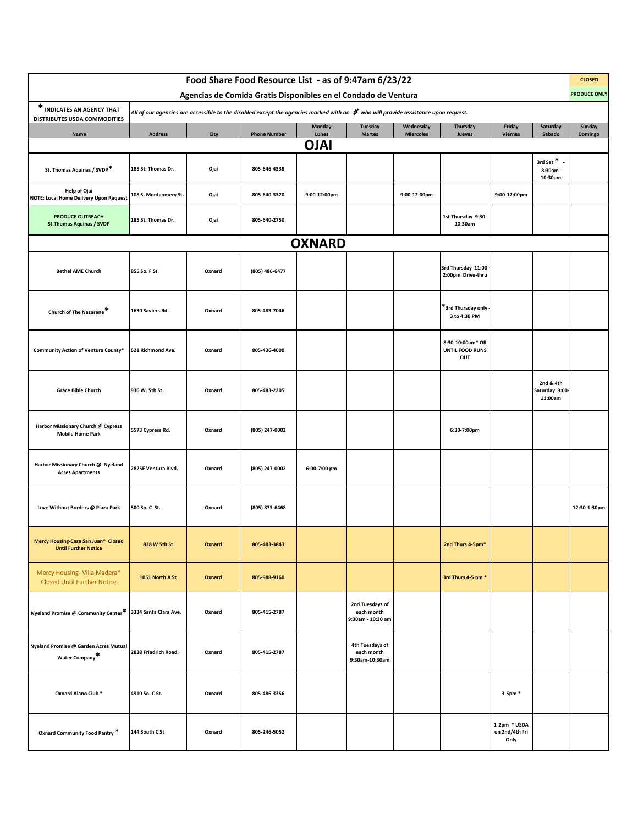|                                                                    |                       |        | Food Share Food Resource List - as of 9:47am 6/23/22                                                                                          |                        |                                                    |                               |                                            |                                        |                                        | <b>CLOSED</b>       |
|--------------------------------------------------------------------|-----------------------|--------|-----------------------------------------------------------------------------------------------------------------------------------------------|------------------------|----------------------------------------------------|-------------------------------|--------------------------------------------|----------------------------------------|----------------------------------------|---------------------|
|                                                                    |                       |        | Agencias de Comida Gratis Disponibles en el Condado de Ventura                                                                                |                        |                                                    |                               |                                            |                                        |                                        | <b>PRODUCE ONLY</b> |
| * INDICATES AN AGENCY THAT<br>DISTRIBUTES USDA COMMODITIES         |                       |        | All of our agencies are accessible to the disabled except the agencies marked with an $\bm{\sharp}$ who will provide assistance upon request. |                        |                                                    |                               |                                            |                                        |                                        |                     |
| Name                                                               | <b>Address</b>        | City   | <b>Phone Number</b>                                                                                                                           | <b>Monday</b><br>Lunes | Tuesday<br><b>Martes</b>                           | Wednesday<br><b>Miercoles</b> | Thursday<br>Jueves                         | Friday<br><b>Viernes</b>               | Saturday<br>Sabado                     | Sunday<br>Domingo   |
|                                                                    |                       |        |                                                                                                                                               | <b>OJAI</b>            |                                                    |                               |                                            |                                        |                                        |                     |
| St. Thomas Aquinas / SVDP*                                         | 185 St. Thomas Dr.    | Ojai   | 805-646-4338                                                                                                                                  |                        |                                                    |                               |                                            |                                        | 3rd Sat*<br>8:30am-<br>10:30am         |                     |
| Help of Ojai<br>NOTE: Local Home Delivery Upon Request             | 108 S. Montgomery St. | Ojai   | 805-640-3320                                                                                                                                  | 9:00-12:00pm           |                                                    | 9:00-12:00pm                  |                                            | 9:00-12:00pm                           |                                        |                     |
| <b>PRODUCE OUTREACH</b><br><b>St.Thomas Aquinas / SVDP</b>         | 185 St. Thomas Dr.    | Ojai   | 805-640-2750                                                                                                                                  |                        |                                                    |                               | 1st Thursday 9:30-<br>10:30am              |                                        |                                        |                     |
|                                                                    |                       |        |                                                                                                                                               | <b>OXNARD</b>          |                                                    |                               |                                            |                                        |                                        |                     |
| <b>Bethel AME Church</b>                                           | 855 So. F St.         | Oxnard | (805) 486-6477                                                                                                                                |                        |                                                    |                               | 3rd Thursday 11:00<br>2:00pm Drive-thru    |                                        |                                        |                     |
| Church of The Nazarene*                                            | 1630 Saviers Rd.      | Oxnard | 805-483-7046                                                                                                                                  |                        |                                                    |                               | *3rd Thursday only<br>3 to 4:30 PM         |                                        |                                        |                     |
| Community Action of Ventura County*                                | 621 Richmond Ave.     | Oxnard | 805-436-4000                                                                                                                                  |                        |                                                    |                               | 8:30-10:00am* OR<br>UNTIL FOOD RUNS<br>OUT |                                        |                                        |                     |
| <b>Grace Bible Church</b>                                          | 936 W. 5th St.        | Oxnard | 805-483-2205                                                                                                                                  |                        |                                                    |                               |                                            |                                        | 2nd & 4th<br>Saturday 9:00-<br>11:00am |                     |
| Harbor Missionary Church @ Cypress<br><b>Mobile Home Park</b>      | 5573 Cypress Rd.      | Oxnard | (805) 247-0002                                                                                                                                |                        |                                                    |                               | 6:30-7:00pm                                |                                        |                                        |                     |
| Harbor Missionary Church @ Nyeland<br><b>Acres Apartments</b>      | 2825E Ventura Blvd.   | Oxnard | (805) 247-0002                                                                                                                                | 6:00-7:00 pm           |                                                    |                               |                                            |                                        |                                        |                     |
| Love Without Borders @ Plaza Park                                  | 500 So. C St.         | Oxnard | (805) 873-6468                                                                                                                                |                        |                                                    |                               |                                            |                                        |                                        | 12:30-1:30pm        |
| Mercy Housing-Casa San Juan* Closed<br><b>Until Further Notice</b> | 838 W 5th St          | Oxnard | 805-483-3843                                                                                                                                  |                        |                                                    |                               | 2nd Thurs 4-5pm*                           |                                        |                                        |                     |
| Mercy Housing- Villa Madera*<br><b>Closed Until Further Notice</b> | 1051 North A St       | Oxnard | 805-988-9160                                                                                                                                  |                        |                                                    |                               | 3rd Thurs 4-5 pm *                         |                                        |                                        |                     |
| Nyeland Promise @ Community Center*                                | 3334 Santa Clara Ave. | Oxnard | 805-415-2787                                                                                                                                  |                        | 2nd Tuesdays of<br>each month<br>9:30am - 10:30 am |                               |                                            |                                        |                                        |                     |
| Nyeland Promise @ Garden Acres Mutual<br>Water Company*            | 2838 Friedrich Road.  | Oxnard | 805-415-2787                                                                                                                                  |                        | 4th Tuesdays of<br>each month<br>9:30am-10:30am    |                               |                                            |                                        |                                        |                     |
| Oxnard Alano Club *                                                | 4910 So. C St.        | Oxnard | 805-486-3356                                                                                                                                  |                        |                                                    |                               |                                            | 3-5pm *                                |                                        |                     |
| Oxnard Community Food Pantry *                                     | 144 South C St        | Oxnard | 805-246-5052                                                                                                                                  |                        |                                                    |                               |                                            | 1-2pm * USDA<br>on 2nd/4th Fri<br>Only |                                        |                     |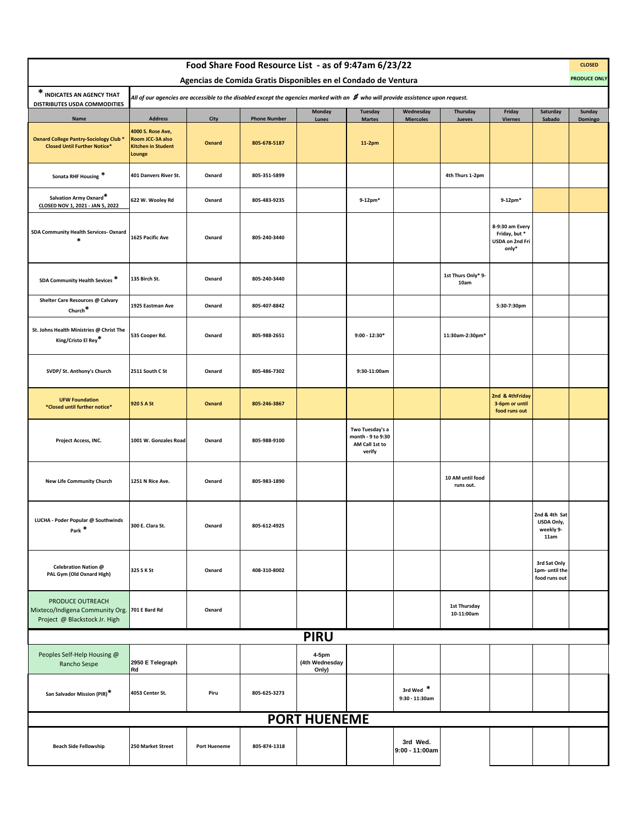|                                                                                                    |                                                                                                                                      |                     | Food Share Food Resource List - as of 9:47am 6/23/22           |                                  |                                                                  |                               |                               |                                                              |                                                  | <b>CLOSED</b>       |
|----------------------------------------------------------------------------------------------------|--------------------------------------------------------------------------------------------------------------------------------------|---------------------|----------------------------------------------------------------|----------------------------------|------------------------------------------------------------------|-------------------------------|-------------------------------|--------------------------------------------------------------|--------------------------------------------------|---------------------|
|                                                                                                    |                                                                                                                                      |                     | Agencias de Comida Gratis Disponibles en el Condado de Ventura |                                  |                                                                  |                               |                               |                                                              |                                                  | <b>PRODUCE ONLY</b> |
| * INDICATES AN AGENCY THAT<br>DISTRIBUTES USDA COMMODITIES                                         | All of our agencies are accessible to the disabled except the agencies marked with an $\#$ who will provide assistance upon request. |                     |                                                                |                                  |                                                                  |                               |                               |                                                              |                                                  |                     |
| Name                                                                                               | <b>Address</b>                                                                                                                       | City                | <b>Phone Number</b>                                            | Monday<br>Lunes                  | <b>Tuesday</b><br><b>Martes</b>                                  | Wednesday<br><b>Miercoles</b> | Thursday<br>Jueves            | Friday<br><b>Viernes</b>                                     | Saturday<br>Sabado                               | Sunday<br>Domingo   |
| <b>Oxnard College Pantry-Sociology Club *</b><br><b>Closed Until Further Notice*</b>               | 4000 S. Rose Ave,<br>Room JCC-3A also<br><b>Kitchen in Student</b><br>Lounge                                                         | Oxnard              | 805-678-5187                                                   |                                  | 11-2pm                                                           |                               |                               |                                                              |                                                  |                     |
| Sonata RHF Housing *                                                                               | 401 Danvers River St.                                                                                                                | Oxnard              | 805-351-5899                                                   |                                  |                                                                  |                               | 4th Thurs 1-2pm               |                                                              |                                                  |                     |
| Salvation Army Oxnard*<br>CLOSED NOV 1, 2021 - JAN 5, 2022                                         | 622 W. Wooley Rd                                                                                                                     | Oxnard              | 805-483-9235                                                   |                                  | $9-12$ pm $*$                                                    |                               |                               | $9-12$ pm*                                                   |                                                  |                     |
| SDA Community Health Services-Oxnard<br>米                                                          | 1625 Pacific Ave                                                                                                                     | Oxnard              | 805-240-3440                                                   |                                  |                                                                  |                               |                               | 8-9:30 am Every<br>Friday, but *<br>USDA on 2nd Fri<br>only* |                                                  |                     |
| SDA Community Health Sevices *                                                                     | 135 Birch St.                                                                                                                        | Oxnard              | 805-240-3440                                                   |                                  |                                                                  |                               | 1st Thurs Only* 9-<br>10am    |                                                              |                                                  |                     |
| Shelter Care Resources @ Calvary<br>Church <sup>*</sup>                                            | 1925 Eastman Ave                                                                                                                     | Oxnard              | 805-407-8842                                                   |                                  |                                                                  |                               |                               | 5:30-7:30pm                                                  |                                                  |                     |
| St. Johns Health Ministries @ Christ The<br>King/Cristo El Rey*                                    | 535 Cooper Rd.                                                                                                                       | Oxnard              | 805-988-2651                                                   |                                  | $9:00 - 12:30*$                                                  |                               | 11:30am-2:30pm*               |                                                              |                                                  |                     |
| SVDP/ St. Anthony's Church                                                                         | 2511 South C St                                                                                                                      | Oxnard              | 805-486-7302                                                   |                                  | 9:30-11:00am                                                     |                               |                               |                                                              |                                                  |                     |
| <b>UFW Foundation</b><br>*Closed until further notice*                                             | 920 S A St                                                                                                                           | Oxnard              | 805-246-3867                                                   |                                  |                                                                  |                               |                               | 2nd & 4thFriday<br>3-6pm or until<br>food runs out           |                                                  |                     |
| Project Access, INC.                                                                               | 1001 W. Gonzales Road                                                                                                                | Oxnard              | 805-988-9100                                                   |                                  | Two Tuesday's a<br>month - 9 to 9:30<br>AM Call 1st to<br>verify |                               |                               |                                                              |                                                  |                     |
| New Life Community Church                                                                          | 1251 N Rice Ave.                                                                                                                     | Oxnard              | 805-983-1890                                                   |                                  |                                                                  |                               | 10 AM until food<br>runs out. |                                                              |                                                  |                     |
| LUCHA - Poder Popular @ Southwinds<br>Park <sup>*</sup>                                            | 300 E. Clara St.                                                                                                                     | Oxnard              | 805-612-4925                                                   |                                  |                                                                  |                               |                               |                                                              | 2nd & 4th Sat<br>USDA Only,<br>weekly 9-<br>11am |                     |
| Celebration Nation @<br>PAL Gym (Old Oxnard High)                                                  | 325 S K St                                                                                                                           | Oxnard              | 408-310-8002                                                   |                                  |                                                                  |                               |                               |                                                              | 3rd Sat Only<br>1pm- until the<br>food runs out  |                     |
| PRODUCE OUTREACH<br>Mixteco/Indigena Community Org. 701 E Bard Rd<br>Project @ Blackstock Jr. High |                                                                                                                                      | Oxnard              |                                                                |                                  |                                                                  |                               | 1st Thursday<br>10-11:00am    |                                                              |                                                  |                     |
|                                                                                                    |                                                                                                                                      |                     |                                                                | <b>PIRU</b>                      |                                                                  |                               |                               |                                                              |                                                  |                     |
| Peoples Self-Help Housing @<br>Rancho Sespe                                                        | 2950 E Telegraph<br>Rd                                                                                                               |                     |                                                                | 4-5pm<br>(4th Wednesday<br>Only) |                                                                  |                               |                               |                                                              |                                                  |                     |
| San Salvador Mission (PIR)*                                                                        | 4053 Center St.                                                                                                                      | Piru                | 805-625-3273                                                   |                                  |                                                                  | 3rd Wed *<br>9:30 - 11:30am   |                               |                                                              |                                                  |                     |
|                                                                                                    |                                                                                                                                      |                     |                                                                | <b>PORT HUENEME</b>              |                                                                  |                               |                               |                                                              |                                                  |                     |
| <b>Beach Side Fellowship</b>                                                                       | 250 Market Street                                                                                                                    | <b>Port Hueneme</b> | 805-874-1318                                                   |                                  |                                                                  | 3rd Wed.<br>9:00 - 11:00am    |                               |                                                              |                                                  |                     |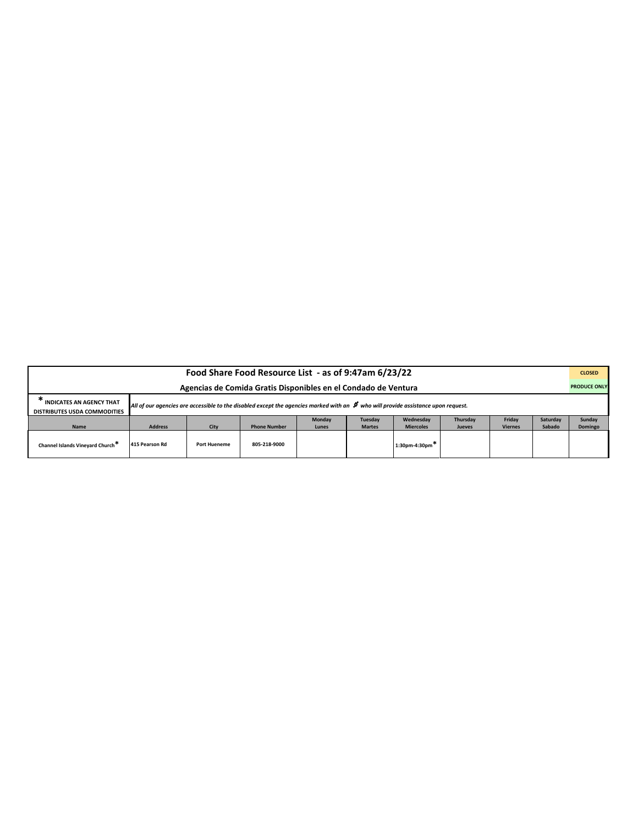| Food Share Food Resource List - as of 9:47am 6/23/22                                                                                                                                                           |                |                     |                     |               |               |                                |               |                |          |         |  |
|----------------------------------------------------------------------------------------------------------------------------------------------------------------------------------------------------------------|----------------|---------------------|---------------------|---------------|---------------|--------------------------------|---------------|----------------|----------|---------|--|
| <b>PRODUCE ONLY</b><br>Agencias de Comida Gratis Disponibles en el Condado de Ventura                                                                                                                          |                |                     |                     |               |               |                                |               |                |          |         |  |
| <b>INDICATES AN AGENCY THAT</b><br>All of our agencies are accessible to the disabled except the agencies marked with an $\#$ who will provide assistance upon request.<br><b>DISTRIBUTES USDA COMMODITIES</b> |                |                     |                     |               |               |                                |               |                |          |         |  |
|                                                                                                                                                                                                                |                |                     |                     | <b>Monday</b> | Tuesday       | Wednesdav                      | Thursday      | Friday         | Saturdav | Sunday  |  |
| Name                                                                                                                                                                                                           | <b>Address</b> | City                | <b>Phone Number</b> | Lunes         | <b>Martes</b> | <b>Miercoles</b>               | <b>Jueves</b> | <b>Viernes</b> | Sabado   | Domingo |  |
| Channel Islands Vineyard Church <sup>**</sup>                                                                                                                                                                  | 415 Pearson Rd | <b>Port Hueneme</b> | 805-218-9000        |               |               | $1:30$ pm-4:30pm <sup>**</sup> |               |                |          |         |  |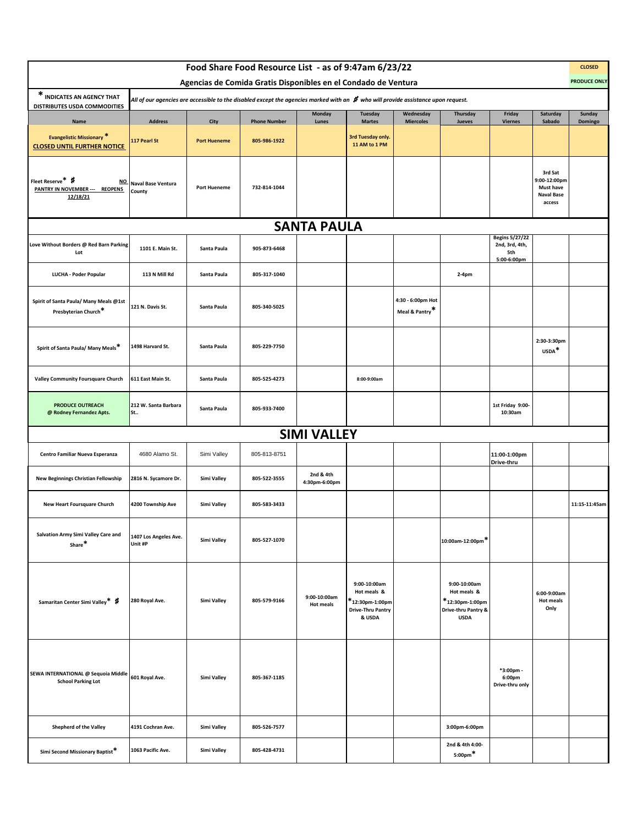|                                                                                |                                     |                             | Food Share Food Resource List - as of 9:47am 6/23/22                                                                                                                                                   |                                  |                                                                                                  |                                     |                                                                                         |                                                               |                                                                            | <b>CLOSED</b><br><b>PRODUCE ONLY</b> |
|--------------------------------------------------------------------------------|-------------------------------------|-----------------------------|--------------------------------------------------------------------------------------------------------------------------------------------------------------------------------------------------------|----------------------------------|--------------------------------------------------------------------------------------------------|-------------------------------------|-----------------------------------------------------------------------------------------|---------------------------------------------------------------|----------------------------------------------------------------------------|--------------------------------------|
| * INDICATES AN AGENCY THAT                                                     |                                     |                             | Agencias de Comida Gratis Disponibles en el Condado de Ventura<br>All of our agencies are accessible to the disabled except the agencies marked with an $\,$ who will provide assistance upon request. |                                  |                                                                                                  |                                     |                                                                                         |                                                               |                                                                            |                                      |
| DISTRIBUTES USDA COMMODITIES                                                   |                                     |                             |                                                                                                                                                                                                        | Monday                           | Tuesday                                                                                          | Wednesday                           | Thursday                                                                                | Friday                                                        | Saturday                                                                   | Sunday                               |
| Name<br><b>Evangelistic Missionary *</b><br><b>CLOSED UNTIL FURTHER NOTICE</b> | <b>Address</b><br>117 Pearl St      | City<br><b>Port Hueneme</b> | <b>Phone Number</b><br>805-986-1922                                                                                                                                                                    | Lunes                            | <b>Martes</b><br>3rd Tuesday only.<br>11 AM to 1 PM                                              | <b>Miercoles</b>                    | Jueves                                                                                  | <b>Viernes</b>                                                | Sabado                                                                     | Domingo                              |
| Fleet Reserve* #<br>NQ<br>PANTRY IN NOVEMBER --- REOPENS<br>12/18/21           | <b>Naval Base Ventura</b><br>County | <b>Port Hueneme</b>         | 732-814-1044                                                                                                                                                                                           |                                  |                                                                                                  |                                     |                                                                                         |                                                               | 3rd Sat<br>9:00-12:00pm<br><b>Must have</b><br><b>Naval Base</b><br>access |                                      |
|                                                                                |                                     |                             |                                                                                                                                                                                                        | <b>SANTA PAULA</b>               |                                                                                                  |                                     |                                                                                         |                                                               |                                                                            |                                      |
| Love Without Borders @ Red Barn Parking<br>Lot                                 | 1101 E. Main St.                    | Santa Paula                 | 905-873-6468                                                                                                                                                                                           |                                  |                                                                                                  |                                     |                                                                                         | <b>Begins 5/27/22</b><br>2nd, 3rd, 4th,<br>5th<br>5:00-6:00pm |                                                                            |                                      |
| LUCHA - Poder Popular                                                          | 113 N Mill Rd                       | Santa Paula                 | 805-317-1040                                                                                                                                                                                           |                                  |                                                                                                  |                                     | 2-4pm                                                                                   |                                                               |                                                                            |                                      |
| Spirit of Santa Paula/ Many Meals @1st<br>Presbyterian Church*                 | 121 N. Davis St.                    | Santa Paula                 | 805-340-5025                                                                                                                                                                                           |                                  |                                                                                                  | 4:30 - 6:00pm Hot<br>Meal & Pantry* |                                                                                         |                                                               |                                                                            |                                      |
| Spirit of Santa Paula/ Many Meals*                                             | 1498 Harvard St.                    | Santa Paula                 | 805-229-7750                                                                                                                                                                                           |                                  |                                                                                                  |                                     |                                                                                         |                                                               | 2:30-3:30pm<br>USDA*                                                       |                                      |
| Valley Community Foursquare Church                                             | 611 East Main St.                   | Santa Paula                 | 805-525-4273                                                                                                                                                                                           |                                  | 8:00-9:00am                                                                                      |                                     |                                                                                         |                                                               |                                                                            |                                      |
| <b>PRODUCE OUTREACH</b><br>@ Rodney Fernandez Apts.                            | 212 W. Santa Barbara<br>St          | Santa Paula                 | 805-933-7400                                                                                                                                                                                           |                                  |                                                                                                  |                                     |                                                                                         | 1st Friday 9:00-<br>10:30am                                   |                                                                            |                                      |
|                                                                                |                                     |                             |                                                                                                                                                                                                        | <b>SIMI VALLEY</b>               |                                                                                                  |                                     |                                                                                         |                                                               |                                                                            |                                      |
| Centro Familiar Nueva Esperanza                                                | 4680 Alamo St.                      | Simi Valley                 | 805-813-8751                                                                                                                                                                                           |                                  |                                                                                                  |                                     |                                                                                         | 11:00-1:00pm<br>Drive-thru                                    |                                                                            |                                      |
| New Beginnings Christian Fellowship                                            | 2816 N. Sycamore Dr.                | Simi Valley                 | 805-522-3555                                                                                                                                                                                           | 2nd & 4th<br>4:30pm-6:00pm       |                                                                                                  |                                     |                                                                                         |                                                               |                                                                            |                                      |
| <b>New Heart Foursquare Church</b>                                             | 4200 Township Ave                   | Simi Valley                 | 805-583-3433                                                                                                                                                                                           |                                  |                                                                                                  |                                     |                                                                                         |                                                               |                                                                            | 11:15-11:45am                        |
| Salvation Army Simi Valley Care and<br>Share*                                  | 1407 Los Angeles Ave.<br>Unit #P    | Simi Valley                 | 805-527-1070                                                                                                                                                                                           |                                  |                                                                                                  |                                     | 10:00am-12:00pm*                                                                        |                                                               |                                                                            |                                      |
| Samaritan Center Simi Valley* #                                                | 280 Royal Ave.                      | Simi Valley                 | 805-579-9166                                                                                                                                                                                           | 9:00-10:00am<br><b>Hot meals</b> | 9:00-10:00am<br>Hot meals &<br><sup>k</sup> 12:30pm-1:00pm<br><b>Drive-Thru Pantry</b><br>& USDA |                                     | 9:00-10:00am<br>Hot meals &<br>$*$ 12:30pm-1:00pm<br>Drive-thru Pantry &<br><b>USDA</b> |                                                               | 6:00-9:00am<br><b>Hot meals</b><br>Only                                    |                                      |
| SEWA INTERNATIONAL @ Sequoia Middle<br><b>School Parking Lot</b>               | 601 Royal Ave.                      | Simi Valley                 | 805-367-1185                                                                                                                                                                                           |                                  |                                                                                                  |                                     |                                                                                         | *3:00pm -<br>6:00pm<br>Drive-thru only                        |                                                                            |                                      |
| Shepherd of the Valley                                                         | 4191 Cochran Ave.                   | Simi Valley                 | 805-526-7577                                                                                                                                                                                           |                                  |                                                                                                  |                                     | 3:00pm-6:00pm                                                                           |                                                               |                                                                            |                                      |
| Simi Second Missionary Baptist*                                                | 1063 Pacific Ave.                   | Simi Valley                 | 805-428-4731                                                                                                                                                                                           |                                  |                                                                                                  |                                     | 2nd & 4th 4:00-<br>$5:00 \text{pm}$ *                                                   |                                                               |                                                                            |                                      |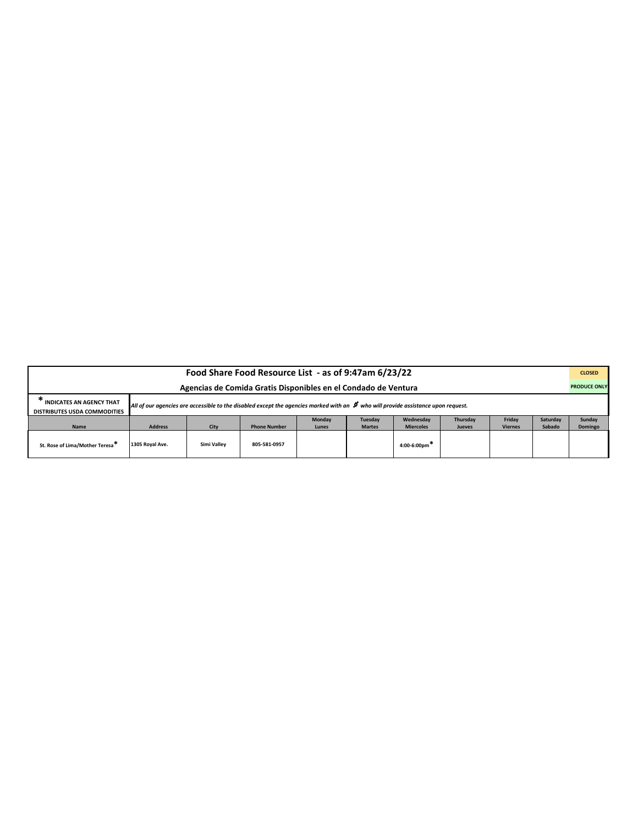| Food Share Food Resource List - as of 9:47am 6/23/22                                                                                                                                                           |                 |             |                     |               |               |                              |               |                |          |         |  |
|----------------------------------------------------------------------------------------------------------------------------------------------------------------------------------------------------------------|-----------------|-------------|---------------------|---------------|---------------|------------------------------|---------------|----------------|----------|---------|--|
| <b>PRODUCE ONLY</b><br>Agencias de Comida Gratis Disponibles en el Condado de Ventura                                                                                                                          |                 |             |                     |               |               |                              |               |                |          |         |  |
| <b>INDICATES AN AGENCY THAT</b><br>All of our agencies are accessible to the disabled except the agencies marked with an $\#$ who will provide assistance upon request.<br><b>DISTRIBUTES USDA COMMODITIES</b> |                 |             |                     |               |               |                              |               |                |          |         |  |
|                                                                                                                                                                                                                |                 |             |                     | <b>Monday</b> | Tuesday       | Wednesdav                    | Thursdav      | Fridav         | Saturday | Sunday  |  |
| Name                                                                                                                                                                                                           | <b>Address</b>  | City        | <b>Phone Number</b> | Lunes         | <b>Martes</b> | <b>Miercoles</b>             | <b>Jueves</b> | <b>Viernes</b> | Sabado   | Domingo |  |
| St. Rose of Lima/Mother Teresa <sup>*</sup>                                                                                                                                                                    | 1305 Royal Ave. | Simi Valley | 805-581-0957        |               |               | $4:00-6:00$ pm <sup>**</sup> |               |                |          |         |  |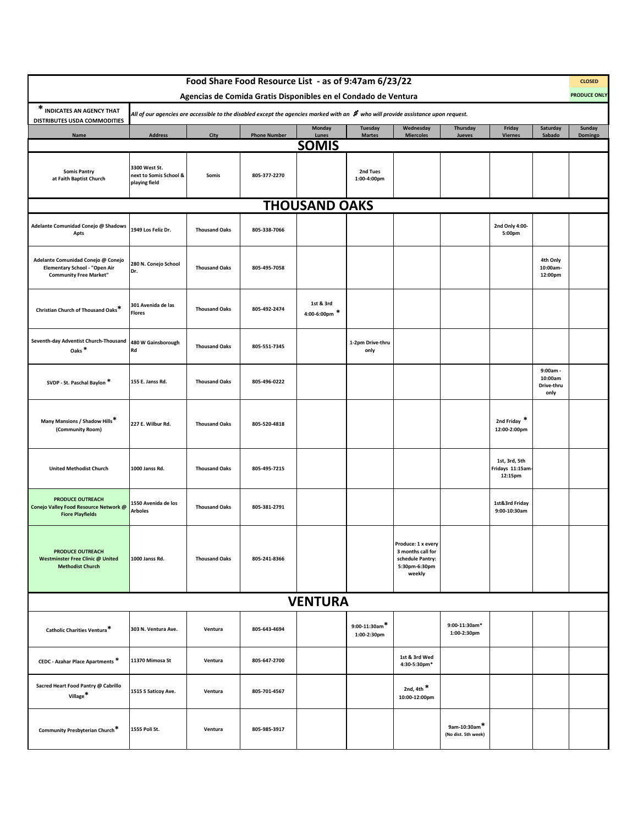|                                                                                                      |                                                          |                      | Food Share Food Resource List - as of 9:47am 6/23/22                                                                                 |                              |                                 |                                                                                        |                                     |                                              |                                           | <b>CLOSED</b>       |
|------------------------------------------------------------------------------------------------------|----------------------------------------------------------|----------------------|--------------------------------------------------------------------------------------------------------------------------------------|------------------------------|---------------------------------|----------------------------------------------------------------------------------------|-------------------------------------|----------------------------------------------|-------------------------------------------|---------------------|
|                                                                                                      |                                                          |                      | Agencias de Comida Gratis Disponibles en el Condado de Ventura                                                                       |                              |                                 |                                                                                        |                                     |                                              |                                           | <b>PRODUCE ONLY</b> |
| * INDICATES AN AGENCY THAT<br>DISTRIBUTES USDA COMMODITIES                                           |                                                          |                      | All of our agencies are accessible to the disabled except the agencies marked with an $\,$ who will provide assistance upon request. |                              |                                 |                                                                                        |                                     |                                              |                                           |                     |
| <b>Name</b>                                                                                          | <b>Address</b>                                           | City                 | <b>Phone Number</b>                                                                                                                  | <b>Monday</b><br>Lunes       | <b>Tuesday</b><br><b>Martes</b> | Wednesday<br><b>Miercoles</b>                                                          | Thursday<br>Jueves                  | Friday<br><b>Viernes</b>                     | Saturday<br>Sabado                        | Sunday<br>Domingo   |
|                                                                                                      |                                                          |                      |                                                                                                                                      | <b>SOMIS</b>                 |                                 |                                                                                        |                                     |                                              |                                           |                     |
| <b>Somis Pantry</b><br>at Faith Baptist Church                                                       | 3300 West St.<br>next to Somis School &<br>playing field | Somis                | 805-377-2270                                                                                                                         |                              | 2nd Tues<br>1:00-4:00pm         |                                                                                        |                                     |                                              |                                           |                     |
|                                                                                                      |                                                          |                      |                                                                                                                                      | <b>THOUSAND OAKS</b>         |                                 |                                                                                        |                                     |                                              |                                           |                     |
| Adelante Comunidad Conejo @ Shadows<br>Apts                                                          | 1949 Los Feliz Dr.                                       | <b>Thousand Oaks</b> | 805-338-7066                                                                                                                         |                              |                                 |                                                                                        |                                     | 2nd Only 4:00-<br>5:00pm                     |                                           |                     |
| Adelante Comunidad Conejo @ Conejo<br>Elementary School - "Open Air<br><b>Community Free Market"</b> | 280 N. Conejo School<br>Dr.                              | <b>Thousand Oaks</b> | 805-495-7058                                                                                                                         |                              |                                 |                                                                                        |                                     |                                              | 4th Only<br>10:00am-<br>12:00pm           |                     |
| Christian Church of Thousand Oaks*                                                                   | 301 Avenida de las<br>Flores                             | <b>Thousand Oaks</b> | 805-492-2474                                                                                                                         | 1st & 3rd<br>4:00-6:00pm $*$ |                                 |                                                                                        |                                     |                                              |                                           |                     |
| Seventh-day Adventist Church-Thousand<br>Oaks <sup>*</sup>                                           | 480 W Gainsborough<br>Rd                                 | <b>Thousand Oaks</b> | 805-551-7345                                                                                                                         |                              | 1-2pm Drive-thru<br>only        |                                                                                        |                                     |                                              |                                           |                     |
| SVDP - St. Paschal Baylon *                                                                          | 155 E. Janss Rd.                                         | <b>Thousand Oaks</b> | 805-496-0222                                                                                                                         |                              |                                 |                                                                                        |                                     |                                              | 9:00am -<br>10:00am<br>Drive-thru<br>only |                     |
| Many Mansions / Shadow Hills*<br>(Community Room)                                                    | 227 E. Wilbur Rd.                                        | <b>Thousand Oaks</b> | 805-520-4818                                                                                                                         |                              |                                 |                                                                                        |                                     | 2nd Friday *<br>12:00-2:00pm                 |                                           |                     |
| <b>United Methodist Church</b>                                                                       | 1000 Janss Rd.                                           | <b>Thousand Oaks</b> | 805-495-7215                                                                                                                         |                              |                                 |                                                                                        |                                     | 1st, 3rd, 5th<br>Fridays 11:15am-<br>12:15pm |                                           |                     |
| <b>PRODUCE OUTREACH</b><br>Conejo Valley Food Resource Network @<br><b>Fiore Playfields</b>          | 1550 Avenida de los<br>Arboles                           | <b>Thousand Oaks</b> | 805-381-2791                                                                                                                         |                              |                                 |                                                                                        |                                     | 1st&3rd Friday<br>9:00-10:30am               |                                           |                     |
| <b>PRODUCE OUTREACH</b><br><b>Westminster Free Clinic @ United</b><br><b>Methodist Church</b>        | 1000 Janss Rd.                                           | <b>Thousand Oaks</b> | 805-241-8366                                                                                                                         |                              |                                 | Produce: 1 x every<br>3 months call for<br>schedule Pantry:<br>5:30pm-6:30pm<br>weekly |                                     |                                              |                                           |                     |
|                                                                                                      |                                                          |                      |                                                                                                                                      | <b>VENTURA</b>               |                                 |                                                                                        |                                     |                                              |                                           |                     |
| Catholic Charities Ventura*                                                                          | 303 N. Ventura Ave.                                      | Ventura              | 805-643-4694                                                                                                                         |                              | $9:00-11:30$ am*<br>1:00-2:30pm |                                                                                        | 9:00-11:30am*<br>1:00-2:30pm        |                                              |                                           |                     |
| CEDC - Azahar Place Apartments *                                                                     | 11370 Mimosa St                                          | Ventura              | 805-647-2700                                                                                                                         |                              |                                 | 1st & 3rd Wed<br>4:30-5:30pm*                                                          |                                     |                                              |                                           |                     |
| Sacred Heart Food Pantry @ Cabrillo<br>Village*                                                      | 1515 S Saticoy Ave.                                      | Ventura              | 805-701-4567                                                                                                                         |                              |                                 | 2nd, 4th $*$<br>10:00-12:00pm                                                          |                                     |                                              |                                           |                     |
| Community Presbyterian Church*                                                                       | 1555 Poli St.                                            | Ventura              | 805-985-3917                                                                                                                         |                              |                                 |                                                                                        | 9am-10:30am*<br>(No dist. 5th week) |                                              |                                           |                     |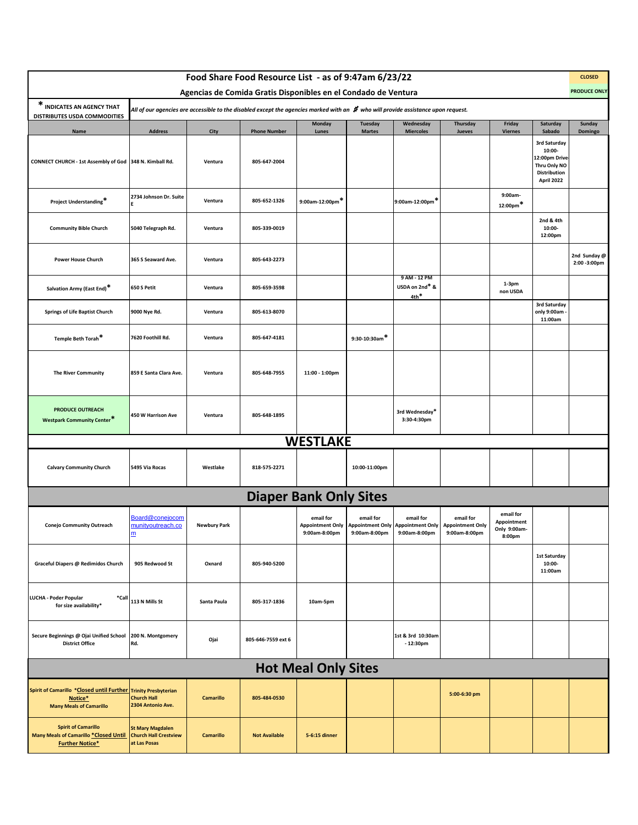|                                                                                                             |                                                                         |                     | Food Share Food Resource List - as of 9:47am 6/23/22                                                                                 |                            |                            |                                                                                      |                                                       |                                                    |                                                                                       | <b>CLOSED</b>                 |
|-------------------------------------------------------------------------------------------------------------|-------------------------------------------------------------------------|---------------------|--------------------------------------------------------------------------------------------------------------------------------------|----------------------------|----------------------------|--------------------------------------------------------------------------------------|-------------------------------------------------------|----------------------------------------------------|---------------------------------------------------------------------------------------|-------------------------------|
| * INDICATES AN AGENCY THAT                                                                                  |                                                                         |                     | Agencias de Comida Gratis Disponibles en el Condado de Ventura                                                                       |                            |                            |                                                                                      |                                                       |                                                    |                                                                                       | <b>PRODUCE ONLY</b>           |
| DISTRIBUTES USDA COMMODITIES                                                                                |                                                                         |                     | All of our agencies are accessible to the disabled except the agencies marked with an $\,$ who will provide assistance upon request. | <b>Monday</b>              | Tuesday                    | Wednesday                                                                            | Thursday                                              | Friday                                             | Saturday                                                                              | Sunday                        |
| Name                                                                                                        | <b>Address</b>                                                          | City                | <b>Phone Number</b>                                                                                                                  | Lunes                      | <b>Martes</b>              | <b>Miercoles</b>                                                                     | Jueves                                                | <b>Viernes</b>                                     | Sabado                                                                                | Domingo                       |
| CONNECT CHURCH - 1st Assembly of God 348 N. Kimball Rd.                                                     |                                                                         | Ventura             | 805-647-2004                                                                                                                         |                            |                            |                                                                                      |                                                       |                                                    | 3rd Saturday<br>10:00-<br>12:00pm Drive<br>Thru Only NO<br>Distribution<br>April 2022 |                               |
| Project Understanding*                                                                                      | 2734 Johnson Dr. Suite                                                  | Ventura             | 805-652-1326                                                                                                                         | 9:00am-12:00pm*            |                            | 9:00am-12:00pm*                                                                      |                                                       | 9:00am-<br>$12:00 \text{pm}^*$                     |                                                                                       |                               |
| <b>Community Bible Church</b>                                                                               | 5040 Telegraph Rd.                                                      | Ventura             | 805-339-0019                                                                                                                         |                            |                            |                                                                                      |                                                       |                                                    | 2nd & 4th<br>10:00-<br>12:00pm                                                        |                               |
| <b>Power House Church</b>                                                                                   | 365 S Seaward Ave.                                                      | Ventura             | 805-643-2273                                                                                                                         |                            |                            |                                                                                      |                                                       |                                                    |                                                                                       | 2nd Sunday @<br>2:00 - 3:00pm |
| Salvation Army (East End)*                                                                                  | 650 S Petit                                                             | Ventura             | 805-659-3598                                                                                                                         |                            |                            | 9 AM - 12 PM<br>USDA on 2nd* &<br>$4th$ *                                            |                                                       | $1-3pm$<br>non USDA                                |                                                                                       |                               |
| <b>Springs of Life Baptist Church</b>                                                                       | 9000 Nye Rd.                                                            | Ventura             | 805-613-8070                                                                                                                         |                            |                            |                                                                                      |                                                       |                                                    | 3rd Saturday<br>only 9:00am<br>11:00am                                                |                               |
| Temple Beth Torah <sup>*</sup>                                                                              | 7620 Foothill Rd.                                                       | Ventura             | 805-647-4181                                                                                                                         |                            | $9:30-10:30$ am*           |                                                                                      |                                                       |                                                    |                                                                                       |                               |
| <b>The River Community</b>                                                                                  | 859 E Santa Clara Ave.                                                  | Ventura             | 805-648-7955                                                                                                                         | 11:00 - 1:00pm             |                            |                                                                                      |                                                       |                                                    |                                                                                       |                               |
| <b>PRODUCE OUTREACH</b><br><b>Westpark Community Center*</b>                                                | 450 W Harrison Ave                                                      | Ventura             | 805-648-1895                                                                                                                         |                            |                            | 3rd Wednesday*<br>3:30-4:30pm                                                        |                                                       |                                                    |                                                                                       |                               |
|                                                                                                             |                                                                         |                     |                                                                                                                                      | <b>WESTLAKE</b>            |                            |                                                                                      |                                                       |                                                    |                                                                                       |                               |
| <b>Calvary Community Church</b>                                                                             | 5495 Via Rocas                                                          | Westlake            | 818-575-2271                                                                                                                         |                            | 10:00-11:00pm              |                                                                                      |                                                       |                                                    |                                                                                       |                               |
|                                                                                                             |                                                                         |                     | <b>Diaper Bank Only Sites</b>                                                                                                        |                            |                            |                                                                                      |                                                       |                                                    |                                                                                       |                               |
| Conejo Community Outreach                                                                                   | Board@conejocom<br>nunityoutreach.co<br>m                               | <b>Newbury Park</b> |                                                                                                                                      | email for<br>9:00am-8:00pm | email for<br>9:00am-8:00pm | email for<br>Appointment Only   Appointment Only   Appointment Only<br>9:00am-8:00pm | email for<br><b>Appointment Only</b><br>9:00am-8:00pm | email for<br>Appointment<br>Only 9:00am-<br>8:00pm |                                                                                       |                               |
| Graceful Diapers @ Redimidos Church                                                                         | 905 Redwood St                                                          | Oxnard              | 805-940-5200                                                                                                                         |                            |                            |                                                                                      |                                                       |                                                    | 1st Saturday<br>10:00-<br>11:00am                                                     |                               |
| <b>LUCHA - Poder Popular</b><br>*Call<br>for size availability*                                             | 113 N Mills St                                                          | Santa Paula         | 805-317-1836                                                                                                                         | 10am-5pm                   |                            |                                                                                      |                                                       |                                                    |                                                                                       |                               |
| Secure Beginnings @ Ojai Unified School<br><b>District Office</b>                                           | 200 N. Montgomery<br>Rd.                                                | Ojai                | 805-646-7559 ext 6                                                                                                                   |                            |                            | 1st & 3rd 10:30am<br>$-12:30pm$                                                      |                                                       |                                                    |                                                                                       |                               |
|                                                                                                             |                                                                         |                     |                                                                                                                                      | <b>Hot Meal Only Sites</b> |                            |                                                                                      |                                                       |                                                    |                                                                                       |                               |
| Spirit of Camarillo *Closed until Further Trinity Presbyterian<br>Notice*<br><b>Many Meals of Camarillo</b> | <b>Church Hall</b><br>2304 Antonio Ave.                                 | <b>Camarillo</b>    | 805-484-0530                                                                                                                         |                            |                            |                                                                                      | 5:00-6:30 pm                                          |                                                    |                                                                                       |                               |
| <b>Spirit of Camarillo</b><br>Many Meals of Camarillo *Closed Until<br><b>Further Notice*</b>               | <b>St Mary Magdalen</b><br><b>Church Hall Crestview</b><br>at Las Posas | Camarillo           | <b>Not Available</b>                                                                                                                 | 5-6:15 dinner              |                            |                                                                                      |                                                       |                                                    |                                                                                       |                               |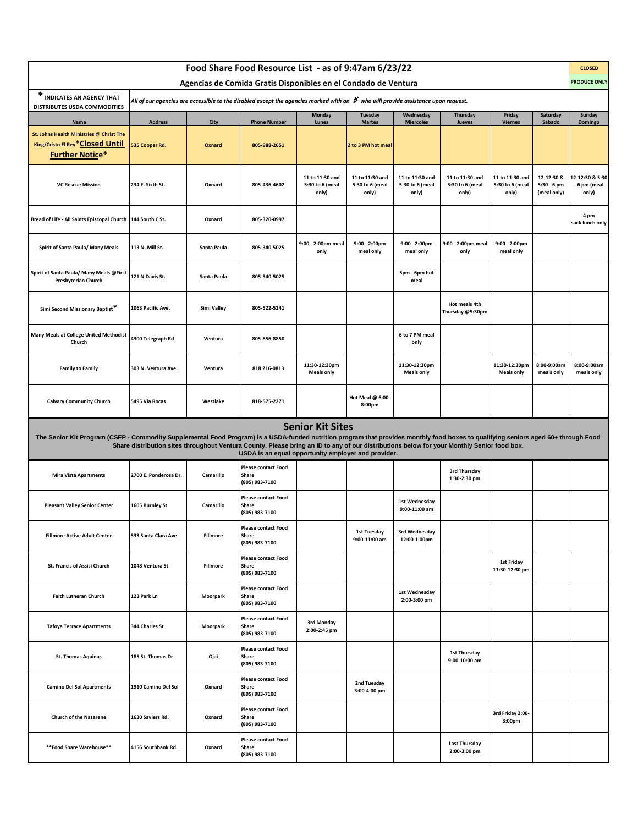|                                                                                                                                                                                     |                                                                                                                                            |             | Food Share Food Resource List - as of 9:47am 6/23/22<br>Agencias de Comida Gratis Disponibles en el Condado de Ventura               |                                             |                                             |                                             |                                             |                                             |                                            | <b>CLOSED</b><br><b>PRODUCE ONLY</b>     |
|-------------------------------------------------------------------------------------------------------------------------------------------------------------------------------------|--------------------------------------------------------------------------------------------------------------------------------------------|-------------|--------------------------------------------------------------------------------------------------------------------------------------|---------------------------------------------|---------------------------------------------|---------------------------------------------|---------------------------------------------|---------------------------------------------|--------------------------------------------|------------------------------------------|
| * INDICATES AN AGENCY THAT                                                                                                                                                          |                                                                                                                                            |             | All of our agencies are accessible to the disabled except the agencies marked with an $\,$ who will provide assistance upon request. |                                             |                                             |                                             |                                             |                                             |                                            |                                          |
| DISTRIBUTES USDA COMMODITIES<br>Name                                                                                                                                                | <b>Address</b>                                                                                                                             | City        | <b>Phone Number</b>                                                                                                                  | <b>Monday</b><br>Lunes                      | Tuesday<br><b>Martes</b>                    | Wednesday<br><b>Miercoles</b>               | Thursday<br>Jueves                          | Friday<br><b>Viernes</b>                    | Saturday<br>Sabado                         | Sunday<br>Domingo                        |
| St. Johns Health Ministries @ Christ The<br>King/Cristo El Rey* Closed Until<br><b>Further Notice*</b>                                                                              | 535 Cooper Rd.                                                                                                                             | Oxnard      | 805-988-2651                                                                                                                         |                                             | 2 to 3 PM hot meal                          |                                             |                                             |                                             |                                            |                                          |
| <b>VC Rescue Mission</b>                                                                                                                                                            | 234 E. Sixth St.                                                                                                                           | Oxnard      | 805-436-4602                                                                                                                         | 11 to 11:30 and<br>5:30 to 6 (meal<br>only) | 11 to 11:30 and<br>5:30 to 6 (meal<br>only) | 11 to 11:30 and<br>5:30 to 6 (meal<br>only) | 11 to 11:30 and<br>5:30 to 6 (meal<br>only) | 11 to 11:30 and<br>5:30 to 6 (meal<br>only) | 12-12:30 &<br>$5:30 - 6$ pm<br>(meal only) | 12-12:30 & 5:30<br>- 6 pm (meal<br>only) |
| Bread of Life - All Saints Episcopal Church                                                                                                                                         | 144 South C St.                                                                                                                            | Oxnard      | 805-320-0997                                                                                                                         |                                             |                                             |                                             |                                             |                                             |                                            | 4 pm<br>sack lunch only                  |
| Spirit of Santa Paula/ Many Meals                                                                                                                                                   | 113 N. Mill St.                                                                                                                            | Santa Paula | 805-340-5025                                                                                                                         | 9:00 - 2:00pm meal<br>only                  | 9:00 - 2:00pm<br>meal only                  | 9:00 - 2:00pm<br>meal only                  | 9:00 - 2:00pm meal<br>only                  | $9:00 - 2:00$ pm<br>meal only               |                                            |                                          |
| Spirit of Santa Paula/ Many Meals @First<br>Presbyterian Church                                                                                                                     | 121 N Davis St.                                                                                                                            | Santa Paula | 805-340-5025                                                                                                                         |                                             |                                             | 5pm - 6pm hot<br>meal                       |                                             |                                             |                                            |                                          |
| Simi Second Missionary Baptist*                                                                                                                                                     | 1063 Pacific Ave.                                                                                                                          | Simi Valley | 805-522-5241                                                                                                                         |                                             |                                             |                                             | Hot meals 4th<br>Thursday @5:30pm           |                                             |                                            |                                          |
| Many Meals at College United Methodist<br>Church                                                                                                                                    | 4300 Telegraph Rd                                                                                                                          | Ventura     | 805-856-8850                                                                                                                         |                                             |                                             | 6 to 7 PM meal<br>only                      |                                             |                                             |                                            |                                          |
| <b>Family to Family</b>                                                                                                                                                             | 303 N. Ventura Ave.                                                                                                                        | Ventura     | 818 216-0813                                                                                                                         | 11:30-12:30pm<br><b>Meals only</b>          |                                             | 11:30-12:30pm<br><b>Meals only</b>          |                                             | 11:30-12:30pm<br><b>Meals only</b>          | 8:00-9:00am<br>meals only                  | 8:00-9:00am<br>meals only                |
| <b>Calvary Community Church</b>                                                                                                                                                     | 5495 Via Rocas                                                                                                                             | Westlake    | 818-575-2271                                                                                                                         |                                             | Hot Meal @ 6:00-<br>8:00pm                  |                                             |                                             |                                             |                                            |                                          |
| The Senior Kit Program (CSFP - Commodity Supplemental Food Program) is a USDA-funded nutrition program that provides monthly food boxes to qualifying seniors aged 60+ through Food | Share distribution sites throughout Ventura County. Please bring an ID to any of our distributions below for your Monthly Senior food box. |             | USDA is an equal opportunity employer and provider.                                                                                  | <b>Senior Kit Sites</b>                     |                                             |                                             |                                             |                                             |                                            |                                          |
| <b>Mira Vista Apartments</b>                                                                                                                                                        | 2700 E. Ponderosa Dr.                                                                                                                      | Camarillo   | <b>Please contact Food</b><br>Share<br>(805) 983-7100                                                                                |                                             |                                             |                                             | 3rd Thursday<br>1:30-2:30 pm                |                                             |                                            |                                          |
| <b>Pleasant Valley Senior Center</b>                                                                                                                                                | 1605 Burnley St                                                                                                                            | Camarillo   | <b>Please contact Food</b><br>Share<br>(805) 983-7100                                                                                |                                             |                                             | 1st Wednesdav<br>9:00-11:00 am              |                                             |                                             |                                            |                                          |
| <b>Fillmore Active Adult Center</b>                                                                                                                                                 | 533 Santa Clara Ave                                                                                                                        | Fillmore    | <b>Please contact Food</b><br>Share<br>(805) 983-7100                                                                                |                                             | 1st Tuesday<br>9:00-11:00 am                | 3rd Wednesday<br>12:00-1:00pm               |                                             |                                             |                                            |                                          |
| St. Francis of Assisi Church                                                                                                                                                        | 1048 Ventura St                                                                                                                            | Fillmore    | <b>Please contact Food</b><br>Share<br>(805) 983-7100                                                                                |                                             |                                             |                                             |                                             | <b>1st Friday</b><br>11:30-12:30 pm         |                                            |                                          |
| <b>Faith Lutheran Church</b>                                                                                                                                                        | 123 Park Ln                                                                                                                                | Moorpark    | <b>Please contact Food</b><br>Share<br>(805) 983-7100                                                                                |                                             |                                             | 1st Wednesday<br>2:00-3:00 pm               |                                             |                                             |                                            |                                          |
| <b>Tafoya Terrace Apartments</b>                                                                                                                                                    | 344 Charles St                                                                                                                             | Moorpark    | <b>Please contact Food</b><br>Share<br>(805) 983-7100                                                                                | 3rd Monday<br>2:00-2:45 pm                  |                                             |                                             |                                             |                                             |                                            |                                          |
| <b>St. Thomas Aquinas</b>                                                                                                                                                           | 185 St. Thomas Dr                                                                                                                          | Ojai        | <b>Please contact Food</b><br>Share<br>(805) 983-7100                                                                                |                                             |                                             |                                             | 1st Thursday<br>9:00-10:00 am               |                                             |                                            |                                          |
| <b>Camino Del Sol Apartments</b>                                                                                                                                                    | 1910 Camino Del Sol                                                                                                                        | Oxnard      | <b>Please contact Food</b><br>Share<br>(805) 983-7100                                                                                |                                             | 2nd Tuesday<br>3:00-4:00 pm                 |                                             |                                             |                                             |                                            |                                          |
| <b>Church of the Nazarene</b>                                                                                                                                                       | 1630 Saviers Rd.                                                                                                                           | Oxnard      | <b>Please contact Food</b><br>Share<br>(805) 983-7100                                                                                |                                             |                                             |                                             |                                             | 3rd Friday 2:00-<br>3:00pm                  |                                            |                                          |
| **Food Share Warehouse**                                                                                                                                                            | 4156 Southbank Rd.                                                                                                                         | Oxnard      | <b>Please contact Food</b><br>Share<br>(805) 983-7100                                                                                |                                             |                                             |                                             | <b>Last Thursday</b><br>2:00-3:00 pm        |                                             |                                            |                                          |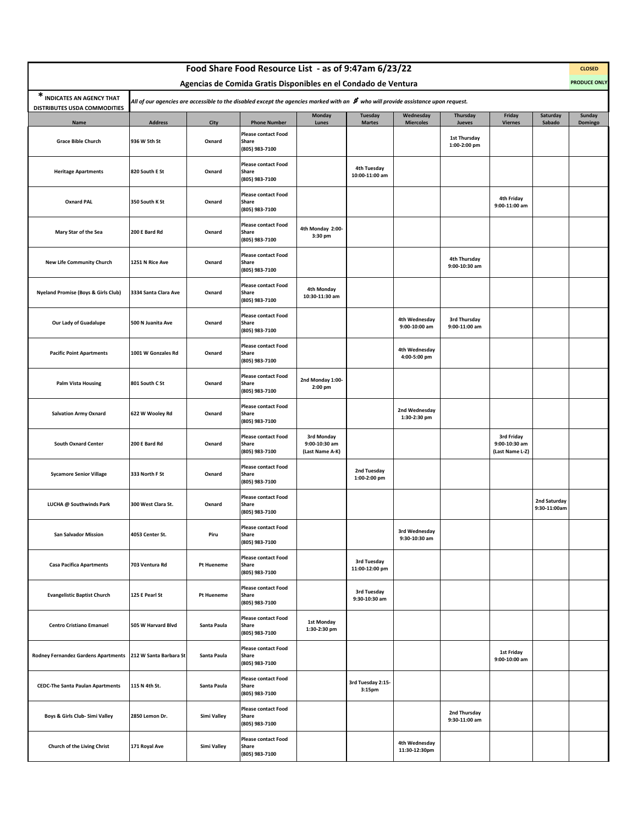|                                            |                                                                                                                                                                                                                                                                                            |             | Food Share Food Resource List - as of 9:47am 6/23/22  |                                                |                               |                                |                               |                                                |                              | <b>CLOSED</b><br><b>PRODUCE ONLY</b> |  |  |
|--------------------------------------------|--------------------------------------------------------------------------------------------------------------------------------------------------------------------------------------------------------------------------------------------------------------------------------------------|-------------|-------------------------------------------------------|------------------------------------------------|-------------------------------|--------------------------------|-------------------------------|------------------------------------------------|------------------------------|--------------------------------------|--|--|
| * INDICATES AN AGENCY THAT                 | Agencias de Comida Gratis Disponibles en el Condado de Ventura<br>All of our agencies are accessible to the disabled except the agencies marked with an $\bm{\sharp}$ who will provide assistance upon request.<br>Wednesday<br>Friday<br>Saturday<br>Monday<br><b>Tuesday</b><br>Thursday |             |                                                       |                                                |                               |                                |                               |                                                |                              |                                      |  |  |
| DISTRIBUTES USDA COMMODITIES<br>Name       | <b>Address</b>                                                                                                                                                                                                                                                                             | City        | <b>Phone Number</b>                                   | Lunes                                          | <b>Martes</b>                 | <b>Miercoles</b>               | Jueves                        | <b>Viernes</b>                                 | Sabado                       | Sunday<br>Domingo                    |  |  |
| <b>Grace Bible Church</b>                  | 936 W 5th St                                                                                                                                                                                                                                                                               | Oxnard      | <b>Please contact Food</b><br>Share<br>(805) 983-7100 |                                                |                               |                                | 1st Thursday<br>1:00-2:00 pm  |                                                |                              |                                      |  |  |
| <b>Heritage Apartments</b>                 | 820 South E St                                                                                                                                                                                                                                                                             | Oxnard      | <b>Please contact Food</b><br>Share<br>(805) 983-7100 |                                                | 4th Tuesday<br>10:00-11:00 am |                                |                               |                                                |                              |                                      |  |  |
| <b>Oxnard PAL</b>                          | 350 South K St                                                                                                                                                                                                                                                                             | Oxnard      | <b>Please contact Food</b><br>Share<br>(805) 983-7100 |                                                |                               |                                |                               | 4th Friday<br>9:00-11:00 am                    |                              |                                      |  |  |
| Mary Star of the Sea                       | 200 E Bard Rd                                                                                                                                                                                                                                                                              | Oxnard      | <b>Please contact Food</b><br>Share<br>(805) 983-7100 | 4th Monday 2:00-<br>3:30 pm                    |                               |                                |                               |                                                |                              |                                      |  |  |
| <b>New Life Community Church</b>           | 1251 N Rice Ave                                                                                                                                                                                                                                                                            | Oxnard      | <b>Please contact Food</b><br>Share<br>(805) 983-7100 |                                                |                               |                                | 4th Thursday<br>9:00-10:30 am |                                                |                              |                                      |  |  |
| Nyeland Promise (Boys & Girls Club)        | 3334 Santa Clara Ave                                                                                                                                                                                                                                                                       | Oxnard      | <b>Please contact Food</b><br>Share<br>(805) 983-7100 | 4th Monday<br>10:30-11:30 am                   |                               |                                |                               |                                                |                              |                                      |  |  |
| Our Lady of Guadalupe                      | 500 N Juanita Ave                                                                                                                                                                                                                                                                          | Oxnard      | <b>Please contact Food</b><br>Share<br>(805) 983-7100 |                                                |                               | 4th Wednesday<br>9:00-10:00 am | 3rd Thursday<br>9:00-11:00 am |                                                |                              |                                      |  |  |
| <b>Pacific Point Apartments</b>            | 1001 W Gonzales Rd                                                                                                                                                                                                                                                                         | Oxnard      | <b>Please contact Food</b><br>Share<br>(805) 983-7100 |                                                |                               | 4th Wednesday<br>4:00-5:00 pm  |                               |                                                |                              |                                      |  |  |
| <b>Palm Vista Housing</b>                  | 801 South C St                                                                                                                                                                                                                                                                             | Oxnard      | <b>Please contact Food</b><br>Share<br>(805) 983-7100 | 2nd Monday 1:00-<br>2:00 pm                    |                               |                                |                               |                                                |                              |                                      |  |  |
| <b>Salvation Army Oxnard</b>               | 622 W Wooley Rd                                                                                                                                                                                                                                                                            | Oxnard      | <b>Please contact Food</b><br>Share<br>(805) 983-7100 |                                                |                               | 2nd Wednesday<br>1:30-2:30 pm  |                               |                                                |                              |                                      |  |  |
| <b>South Oxnard Center</b>                 | 200 E Bard Rd                                                                                                                                                                                                                                                                              | Oxnard      | <b>Please contact Food</b><br>Share<br>(805) 983-7100 | 3rd Monday<br>9:00-10:30 am<br>(Last Name A-K) |                               |                                |                               | 3rd Friday<br>9:00-10:30 am<br>(Last Name L-Z) |                              |                                      |  |  |
| <b>Sycamore Senior Village</b>             | 333 North F St                                                                                                                                                                                                                                                                             | Oxnard      | <b>Please contact Food</b><br>Share<br>(805) 983-7100 |                                                | 2nd Tuesday<br>1:00-2:00 pm   |                                |                               |                                                |                              |                                      |  |  |
| LUCHA @ Southwinds Park                    | 300 West Clara St.                                                                                                                                                                                                                                                                         | Oxnard      | <b>Please contact Food</b><br>Share<br>(805) 983-7100 |                                                |                               |                                |                               |                                                | 2nd Saturday<br>9:30-11:00am |                                      |  |  |
| <b>San Salvador Mission</b>                | 4053 Center St.                                                                                                                                                                                                                                                                            | Piru        | Piease contact Food<br>Share<br>(805) 983-7100        |                                                |                               | 3rd Wednesday<br>9:30-10:30 am |                               |                                                |                              |                                      |  |  |
| <b>Casa Pacifica Apartments</b>            | 703 Ventura Rd                                                                                                                                                                                                                                                                             | Pt Hueneme  | <b>Please contact Food</b><br>Share<br>(805) 983-7100 |                                                | 3rd Tuesday<br>11:00-12:00 pm |                                |                               |                                                |                              |                                      |  |  |
| <b>Evangelistic Baptist Church</b>         | 125 E Pearl St                                                                                                                                                                                                                                                                             | Pt Hueneme  | <b>Please contact Food</b><br>Share<br>(805) 983-7100 |                                                | 3rd Tuesday<br>9:30-10:30 am  |                                |                               |                                                |                              |                                      |  |  |
| <b>Centro Cristiano Emanuel</b>            | 505 W Harvard Blvd                                                                                                                                                                                                                                                                         | Santa Paula | <b>Please contact Food</b><br>Share<br>(805) 983-7100 | 1st Monday<br>1:30-2:30 pm                     |                               |                                |                               |                                                |                              |                                      |  |  |
| <b>Rodney Fernandez Gardens Apartments</b> | 212 W Santa Barbara St                                                                                                                                                                                                                                                                     | Santa Paula | <b>Please contact Food</b><br>Share<br>(805) 983-7100 |                                                |                               |                                |                               | <b>1st Friday</b><br>9:00-10:00 am             |                              |                                      |  |  |
| <b>CEDC-The Santa Paulan Apartments</b>    | 115 N 4th St.                                                                                                                                                                                                                                                                              | Santa Paula | <b>Please contact Food</b><br>Share<br>(805) 983-7100 |                                                | 3rd Tuesday 2:15-<br>3:15pm   |                                |                               |                                                |                              |                                      |  |  |
| Boys & Girls Club- Simi Valley             | 2850 Lemon Dr.                                                                                                                                                                                                                                                                             | Simi Valley | <b>Please contact Food</b><br>Share<br>(805) 983-7100 |                                                |                               |                                | 2nd Thursday<br>9:30-11:00 am |                                                |                              |                                      |  |  |
| Church of the Living Christ                | 171 Royal Ave                                                                                                                                                                                                                                                                              | Simi Valley | <b>Please contact Food</b><br>Share<br>(805) 983-7100 |                                                |                               | 4th Wednesday<br>11:30-12:30pm |                               |                                                |                              |                                      |  |  |